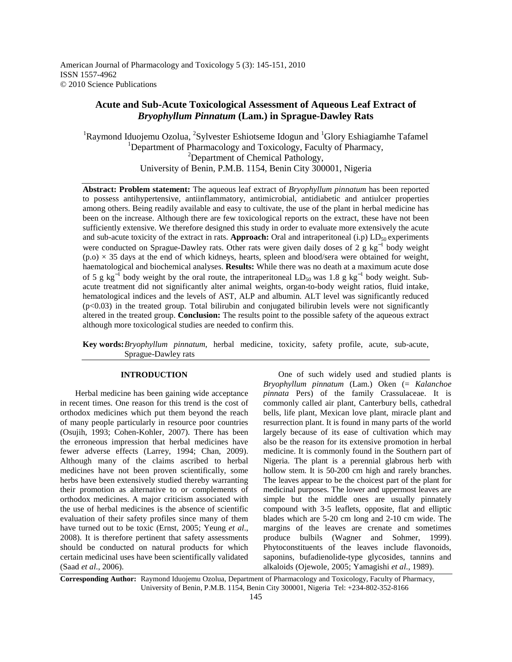American Journal of Pharmacology and Toxicology 5 (3): 145-151, 2010 ISSN 1557-4962 © 2010 Science Publications

# **Acute and Sub-Acute Toxicological Assessment of Aqueous Leaf Extract of**  *Bryophyllum Pinnatum* **(Lam.) in Sprague-Dawley Rats**

<sup>1</sup>Raymond Iduojemu Ozolua, <sup>2</sup>Sylvester Eshiotseme Idogun and <sup>1</sup>Glory Eshiagiamhe Tafamel <sup>1</sup>Department of Pharmacology and Toxicology, Faculty of Pharmacy, <sup>2</sup>Department of Chemical Pathology, University of Benin, P.M.B. 1154, Benin City 300001, Nigeria

**Abstract: Problem statement:** The aqueous leaf extract of *Bryophyllum pinnatum* has been reported to possess antihypertensive, antiinflammatory, antimicrobial, antidiabetic and antiulcer properties among others. Being readily available and easy to cultivate, the use of the plant in herbal medicine has been on the increase. Although there are few toxicological reports on the extract, these have not been sufficiently extensive. We therefore designed this study in order to evaluate more extensively the acute and sub-acute toxicity of the extract in rats. **Approach:** Oral and intraperitoneal  $(i,p)$  LD<sub>50</sub> experiments were conducted on Sprague-Dawley rats. Other rats were given daily doses of 2 g kg<sup>-1</sup> body weight  $(p.o) \times 35$  days at the end of which kidneys, hearts, spleen and blood/sera were obtained for weight, haematological and biochemical analyses. **Results:** While there was no death at a maximum acute dose of 5 g  $\text{kg}^{-1}$  body weight by the oral route, the intraperitoneal LD<sub>50</sub> was 1.8 g  $\text{kg}^{-1}$  body weight. Subacute treatment did not significantly alter animal weights, organ-to-body weight ratios, fluid intake, hematological indices and the levels of AST, ALP and albumin. ALT level was significantly reduced (p<0.03) in the treated group. Total bilirubin and conjugated bilirubin levels were not significantly altered in the treated group. **Conclusion:** The results point to the possible safety of the aqueous extract although more toxicological studies are needed to confirm this.

**Key words:** *Bryophyllum pinnatum*, herbal medicine, toxicity, safety profile, acute, sub-acute, Sprague-Dawley rats

## **INTRODUCTION**

 Herbal medicine has been gaining wide acceptance in recent times. One reason for this trend is the cost of orthodox medicines which put them beyond the reach of many people particularly in resource poor countries (Osujih, 1993; Cohen-Kohler, 2007). There has been the erroneous impression that herbal medicines have fewer adverse effects (Larrey, 1994; Chan, 2009). Although many of the claims ascribed to herbal medicines have not been proven scientifically, some herbs have been extensively studied thereby warranting their promotion as alternative to or complements of orthodox medicines. A major criticism associated with the use of herbal medicines is the absence of scientific evaluation of their safety profiles since many of them have turned out to be toxic (Ernst, 2005; Yeung *et al*., 2008). It is therefore pertinent that safety assessments should be conducted on natural products for which certain medicinal uses have been scientifically validated (Saad *et al*., 2006).

 One of such widely used and studied plants is *Bryophyllum pinnatum* (Lam.) Oken (= *Kalanchoe pinnata* Pers) of the family Crassulaceae. It is commonly called air plant, Canterbury bells, cathedral bells, life plant, Mexican love plant, miracle plant and resurrection plant. It is found in many parts of the world largely because of its ease of cultivation which may also be the reason for its extensive promotion in herbal medicine. It is commonly found in the Southern part of Nigeria. The plant is a perennial glabrous herb with hollow stem. It is 50-200 cm high and rarely branches. The leaves appear to be the choicest part of the plant for medicinal purposes. The lower and uppermost leaves are simple but the middle ones are usually pinnately compound with 3-5 leaflets, opposite, flat and elliptic blades which are 5-20 cm long and 2-10 cm wide. The margins of the leaves are crenate and sometimes produce bulbils (Wagner and Sohmer, 1999). Phytoconstituents of the leaves include flavonoids, saponins, bufadienolide-type glycosides, tannins and alkaloids (Ojewole, 2005; Yamagishi *et al*., 1989).

**Corresponding Author:** Raymond Iduojemu Ozolua, Department of Pharmacology and Toxicology, Faculty of Pharmacy, University of Benin, P.M.B. 1154, Benin City 300001, Nigeria Tel: +234-802-352-8166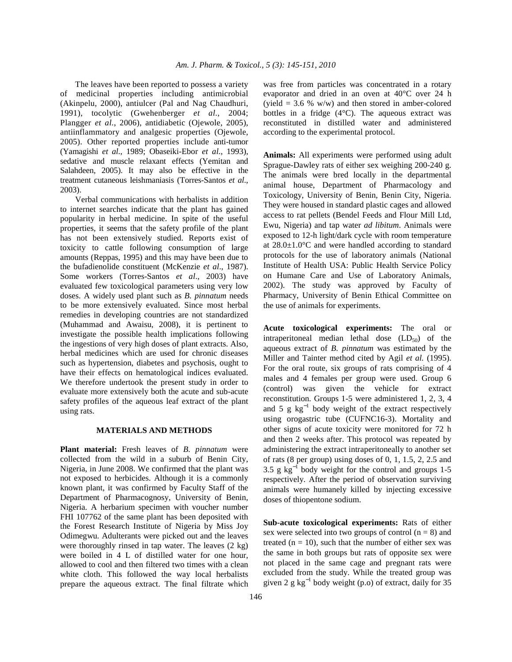The leaves have been reported to possess a variety of medicinal properties including antimicrobial (Akinpelu, 2000), antiulcer (Pal and Nag Chaudhuri, 1991), tocolytic (Gwehenberger *et al*., 2004; Plangger *et al*., 2006), antidiabetic (Ojewole, 2005), antiinflammatory and analgesic properties (Ojewole, 2005). Other reported properties include anti-tumor (Yamagishi *et al*., 1989; Obaseiki-Ebor *et al*., 1993), sedative and muscle relaxant effects (Yemitan and Salahdeen, 2005). It may also be effective in the treatment cutaneous leishmaniasis (Torres-Santos *et al*., 2003).

 Verbal communications with herbalists in addition to internet searches indicate that the plant has gained popularity in herbal medicine. In spite of the useful properties, it seems that the safety profile of the plant has not been extensively studied. Reports exist of toxicity to cattle following consumption of large amounts (Reppas, 1995) and this may have been due to the bufadienolide constituent (McKenzie *et al*., 1987). Some workers (Torres-Santos *et al*., 2003) have evaluated few toxicological parameters using very low doses. A widely used plant such as *B. pinnatum* needs to be more extensively evaluated. Since most herbal remedies in developing countries are not standardized (Muhammad and Awaisu, 2008), it is pertinent to investigate the possible health implications following the ingestions of very high doses of plant extracts. Also, herbal medicines which are used for chronic diseases such as hypertension, diabetes and psychosis, ought to have their effects on hematological indices evaluated. We therefore undertook the present study in order to evaluate more extensively both the acute and sub-acute safety profiles of the aqueous leaf extract of the plant using rats.

# **MATERIALS AND METHODS**

**Plant material:** Fresh leaves of *B. pinnatum* were collected from the wild in a suburb of Benin City, Nigeria, in June 2008. We confirmed that the plant was not exposed to herbicides. Although it is a commonly known plant, it was confirmed by Faculty Staff of the Department of Pharmacognosy, University of Benin, Nigeria. A herbarium specimen with voucher number FHI 107762 of the same plant has been deposited with the Forest Research Institute of Nigeria by Miss Joy Odimegwu. Adulterants were picked out and the leaves were thoroughly rinsed in tap water. The leaves (2 kg) were boiled in 4 L of distilled water for one hour, allowed to cool and then filtered two times with a clean white cloth. This followed the way local herbalists prepare the aqueous extract. The final filtrate which was free from particles was concentrated in a rotary evaporator and dried in an oven at 40°C over 24 h (yield  $= 3.6$  % w/w) and then stored in amber-colored bottles in a fridge (4°C). The aqueous extract was reconstituted in distilled water and administered according to the experimental protocol.

**Animals:** All experiments were performed using adult Sprague-Dawley rats of either sex weighing 200-240 g. The animals were bred locally in the departmental animal house, Department of Pharmacology and Toxicology, University of Benin, Benin City, Nigeria. They were housed in standard plastic cages and allowed access to rat pellets (Bendel Feeds and Flour Mill Ltd, Ewu, Nigeria) and tap water *ad libitum*. Animals were exposed to 12-h light/dark cycle with room temperature at 28.0±1.0°C and were handled according to standard protocols for the use of laboratory animals (National Institute of Health USA: Public Health Service Policy on Humane Care and Use of Laboratory Animals, 2002). The study was approved by Faculty of Pharmacy, University of Benin Ethical Committee on the use of animals for experiments.

**Acute toxicological experiments:** The oral or intraperitoneal median lethal dose  $(LD_{50})$  of the aqueous extract of *B. pinnatum* was estimated by the Miller and Tainter method cited by Agil *et al.* (1995). For the oral route, six groups of rats comprising of 4 males and 4 females per group were used. Group 6 (control) was given the vehicle for extract reconstitution. Groups 1-5 were administered 1, 2, 3, 4 and 5 g  $kg^{-1}$  body weight of the extract respectively using orogastric tube (CUFNC16-3). Mortality and other signs of acute toxicity were monitored for 72 h and then 2 weeks after. This protocol was repeated by administering the extract intraperitoneally to another set of rats  $(8 \text{ per group})$  using doses of  $0, 1, 1.5, 2, 2.5$  and 3.5 g  $kg^{-1}$  body weight for the control and groups 1-5 respectively. After the period of observation surviving animals were humanely killed by injecting excessive doses of thiopentone sodium.

**Sub-acute toxicological experiments:** Rats of either sex were selected into two groups of control  $(n = 8)$  and treated  $(n = 10)$ , such that the number of either sex was the same in both groups but rats of opposite sex were not placed in the same cage and pregnant rats were excluded from the study. While the treated group was given 2 g  $kg^{-1}$  body weight (p.o) of extract, daily for 35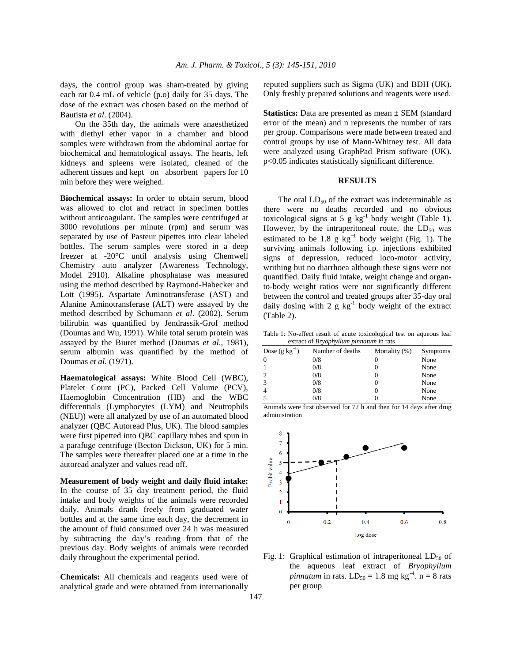days, the control group was sham-treated by giving each rat 0.4 mL of vehicle (p.o) daily for 35 days. The dose of the extract was chosen based on the method of Bautista *et al*. (2004).

 On the 35th day, the animals were anaesthetized with diethyl ether vapor in a chamber and blood samples were withdrawn from the abdominal aortae for biochemical and hematological assays. The hearts, left kidneys and spleens were isolated, cleaned of the adherent tissues and kept on absorbent papers for 10 min before they were weighed.

**Biochemical assays:** In order to obtain serum, blood was allowed to clot and retract in specimen bottles without anticoagulant. The samples were centrifuged at 3000 revolutions per minute (rpm) and serum was separated by use of Pasteur pipettes into clear labeled bottles. The serum samples were stored in a deep freezer at -20°C until analysis using Chemwell Chemistry auto analyzer (Awareness Technology, Model 2910). Alkaline phosphatase was measured using the method described by Raymond-Habecker and Lott (1995). Aspartate Aminotransferase (AST) and Alanine Aminotransferase (ALT) were assayed by the method described by Schumann *et al*. (2002). Serum bilirubin was quantified by Jendrassik-Grof method (Doumas and Wu, 1991). While total serum protein was assayed by the Biuret method (Doumas *et al*., 1981), serum albumin was quantified by the method of Doumas *et al.* (1971).

**Haematological assays:** White Blood Cell (WBC), Platelet Count (PC), Packed Cell Volume (PCV), Haemoglobin Concentration (HB) and the WBC differentials (Lymphocytes (LYM) and Neutrophils (NEU)) were all analyzed by use of an automated blood analyzer (QBC Autoread Plus, UK). The blood samples were first pipetted into QBC capillary tubes and spun in a parafuge centrifuge (Becton Dickson, UK) for 5 min. The samples were thereafter placed one at a time in the autoread analyzer and values read off.

**Measurement of body weight and daily fluid intake:**  In the course of 35 day treatment period, the fluid intake and body weights of the animals were recorded daily. Animals drank freely from graduated water bottles and at the same time each day, the decrement in the amount of fluid consumed over 24 h was measured by subtracting the day's reading from that of the previous day. Body weights of animals were recorded daily throughout the experimental period.

**Chemicals:** All chemicals and reagents used were of analytical grade and were obtained from internationally

reputed suppliers such as Sigma (UK) and BDH (UK). Only freshly prepared solutions and reagents were used.

**Statistics:** Data are presented as mean  $\pm$  SEM (standard error of the mean) and n represents the number of rats per group. Comparisons were made between treated and control groups by use of Mann-Whitney test. All data were analyzed using GraphPad Prism software (UK). p<0.05 indicates statistically significant difference.

### **RESULTS**

The oral  $LD_{50}$  of the extract was indeterminable as there were no deaths recorded and no obvious toxicological signs at 5 g  $kg^{-1}$  body weight (Table 1). However, by the intraperitoneal route, the  $LD_{50}$  was estimated to be 1.8 g  $kg^{-1}$  body weight (Fig. 1). The surviving animals following i.p*.* injections exhibited signs of depression, reduced loco-motor activity, writhing but no diarrhoea although these signs were not quantified. Daily fluid intake, weight change and organto-body weight ratios were not significantly different between the control and treated groups after 35-day oral daily dosing with 2 g  $kg^{-1}$  body weight of the extract (Table 2).

Table 1: No-effect result of acute toxicological test on aqueous leaf extract of *Bryophyllum pinnatum* in rats

| Dose $(g kg^{-1})$ | Number of deaths | Mortality (%) | Symptoms |
|--------------------|------------------|---------------|----------|
| $\theta$           | 0/8              |               | None     |
|                    | 0/8              |               | None     |
|                    | 0/8              |               | None     |
| 3                  | 0/8              |               | None     |
|                    | 0/8              |               | None     |
|                    | 0/8              |               | None     |

Animals were first observed for 72 h and then for 14 days after drug administration



Fig. 1: Graphical estimation of intraperitoneal  $LD_{50}$  of the aqueous leaf extract of *Bryophyllum*   $pinnatum$  in rats.  $LD_{50} = 1.8$  mg  $kg^{-1}$ . n = 8 rats per group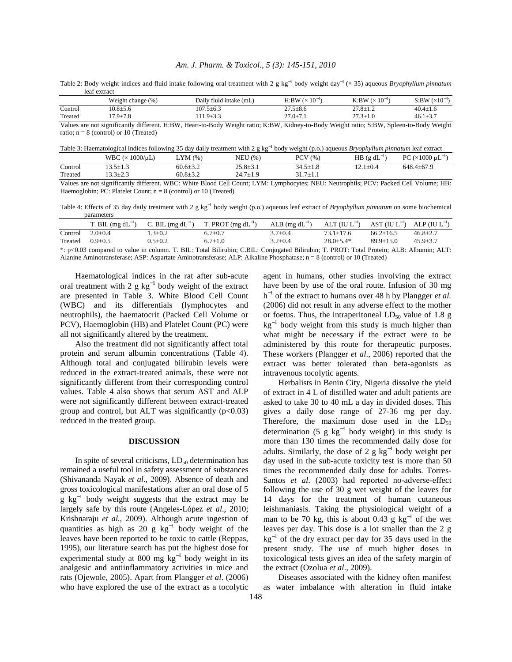## *Am. J. Pharm. & Toxicol., 5 (3): 145-151, 2010*

Table 2: Body weight indices and fluid intake following oral treatment with 2 g kg<sup>−</sup><sup>1</sup> body weight day<sup>−</sup><sup>1</sup>(× 35) aqueous *Bryophyllum pinnatum* leaf extract

|         | t change (%)<br>Veight  | Daily fluid intake (mL)   | $10-4$<br>H:BW                 | $\cdot 10^{-5}$<br>K:BW | $(\times 10^{-8}$<br>S:BW |
|---------|-------------------------|---------------------------|--------------------------------|-------------------------|---------------------------|
| Control | $0.8+5$                 | $107.5 \pm 6.3$           | $27.5 + 8$<br>$21.9 \pm 0.0$   | $27.8 \pm 1.2$          | $40.4+$                   |
| Treated | $179 + 78$<br>. J± / .o | $11.0 + 3.3$<br>ن د سند ب | $27.0 + 7.1$<br>$21.9 - 1.1$   | $\sim$                  | $461+37$                  |
| ____    | .                       | ____________<br>______    | ___ _ _ _ _ _ _<br>___________ | _______                 | __________                |

Values are not significantly different. H:BW, Heart-to-Body Weight ratio; K:BW, Kidney-to-Body Weight ratio; S:BW, Spleen-to-Body Weight ratio;  $n = 8$  (control) or 10 (Treated)

Table 3: Haematological indices following 35 day daily treatment with 2 g kg<sup>−</sup><sup>1</sup> body weight (p.o.) aqueous *Bryophyllum pinnatum* leaf extract

|         | WBC $(\times 1000/\mu L)$ | LYM(%)         | <b>NEU</b> (%) | PCV(% )        | HB $(g \, dL^{-1})$ | $\sim$ (×1000 $\mu$ L <sup>-1</sup> )<br>PС |
|---------|---------------------------|----------------|----------------|----------------|---------------------|---------------------------------------------|
| Control | $13.5 \pm 1.3$            | $60.6 \pm 3.2$ | $25.8 \pm 3.1$ | $34.5 \pm 1.8$ | $2.1 \pm 0.4$       | $648.4 \pm 67.9$                            |
| Treated | $3.3 \pm 2.3$             | $60.8 \pm 3.2$ | $24.7 \pm 1.9$ | $31.7 \pm 1.1$ |                     |                                             |
|         |                           |                |                |                |                     |                                             |

Values are not significantly different. WBC: White Blood Cell Count; LYM: Lymphocytes; NEU: Neutrophils; PCV: Packed Cell Volume; HB: Haemoglobin; PC: Platelet Count;  $n = 8$  (control) or 10 (Treated)

Table 4: Effects of 35 day daily treatment with 2 g kg<sup>-1</sup> body weight (p.o.) aqueous leaf extract of *Bryophyllum pinnatum* on some biochemical parameters

|             | T. BIL $(mg dL^{-1})$ | C. BIL (mg $dL^{-1}$ ) | T. PROT (mg $dL^{-1}$ )                               | ALB (mg $dL^{-1}$ )        | $ALT (IU L^{-1})$                      |                 | AST (IU $L^{-1}$ ) ALP (IU $L^{-1}$ ) |
|-------------|-----------------------|------------------------|-------------------------------------------------------|----------------------------|----------------------------------------|-----------------|---------------------------------------|
| Control     | $2.0 + 0.4$           | $.3 + 0.2$             | $6.7 \pm 0.7$                                         | $3.7 \pm 0.4$              | $73.1 \pm 17.6$                        | $66.2 \pm 16.5$ | $46.8 \pm 2.7$                        |
| Treated     | $0.9 \pm 0.5$         | $0.5 + 0.2$            | 6.7 $\pm 1.0$                                         | $3.2 \pm 0.4$              | $28.0 \pm 5.4*$                        | $89.9 \pm 15.0$ | $45.9 \pm 3.7$                        |
| $\sim$ 0.00 |                       |                        | $\pi$ $\pi$ $\pi$ $\ldots$ $\pi$ $\ldots$ $\pi$ $\pi$ | $\sim$ 1. $\sim$ 1.1. 1.1. | $\pi$ poor $\pi$ in $\cdot$ in $\cdot$ |                 |                                       |

\*: p<0.03 compared to value in column. T. BIL: Total Bilirubin; C.BIL: Conjugated Bilirubin; T. PROT: Total Protein; ALB: Albumin; ALT: Alanine Aminotransferase; ASP: Aspartate Aminotransferase; ALP: Alkaline Phosphatase; n = 8 (control) or 10 (Treated)

 Haematological indices in the rat after sub-acute oral treatment with 2  $g kg^{-1}$  body weight of the extract are presented in Table 3. White Blood Cell Count (WBC) and its differentials (lymphocytes and neutrophils), the haematocrit (Packed Cell Volume or PCV), Haemoglobin (HB) and Platelet Count (PC) were all not significantly altered by the treatment.

 Also the treatment did not significantly affect total protein and serum albumin concentrations (Table 4). Although total and conjugated bilirubin levels were reduced in the extract-treated animals, these were not significantly different from their corresponding control values. Table 4 also shows that serum AST and ALP were not significantly different between extract-treated group and control, but ALT was significantly  $(p<0.03)$ reduced in the treated group.

# **DISCUSSION**

In spite of several criticisms,  $LD_{50}$  determination has remained a useful tool in safety assessment of substances (Shivananda Nayak *et al*., 2009). Absence of death and gross toxicological manifestations after an oral dose of 5 g kg<sup>-1</sup> body weight suggests that the extract may be largely safe by this route (Angeles-López *et al*., 2010; Krishnaraju *et al.*, 2009). Although acute ingestion of quantities as high as 20 g  $kg^{-1}$  body weight of the leaves have been reported to be toxic to cattle (Reppas, 1995), our literature search has put the highest dose for experimental study at 800 mg  $kg^{-1}$  body weight in its analgesic and antiinflammatory activities in mice and rats (Ojewole, 2005). Apart from Plangger *et al*. (2006) who have explored the use of the extract as a tocolytic

agent in humans, other studies involving the extract have been by use of the oral route. Infusion of 30 mg h<sup>-1</sup> of the extract to humans over 48 h by Plangger *et al*. (2006) did not result in any adverse effect to the mother or foetus. Thus, the intraperitoneal  $LD_{50}$  value of 1.8 g kg<sup>-1</sup> body weight from this study is much higher than what might be necessary if the extract were to be administered by this route for therapeutic purposes. These workers (Plangger *et al*., 2006) reported that the extract was better tolerated than beta-agonists as intravenous tocolytic agents.

 Herbalists in Benin City, Nigeria dissolve the yield of extract in 4 L of distilled water and adult patients are asked to take 30 to 40 mL a day in divided doses. This gives a daily dose range of 27-36 mg per day. Therefore, the maximum dose used in the  $LD_{50}$ determination (5 g  $kg^{-1}$  body weight) in this study is more than 130 times the recommended daily dose for adults. Similarly, the dose of 2  $g kg^{-1}$  body weight per day used in the sub-acute toxicity test is more than 50 times the recommended daily dose for adults. Torres-Santos *et al*. (2003) had reported no-adverse-effect following the use of 30 g wet weight of the leaves for 14 days for the treatment of human cutaneous leishmaniasis. Taking the physiological weight of a man to be 70 kg, this is about 0.43 g  $kg^{-1}$  of the wet leaves per day. This dose is a lot smaller than the 2 g kg<sup>-1</sup> of the dry extract per day for 35 days used in the present study. The use of much higher doses in toxicological tests gives an idea of the safety margin of the extract (Ozolua *et al*., 2009).

 Diseases associated with the kidney often manifest as water imbalance with alteration in fluid intake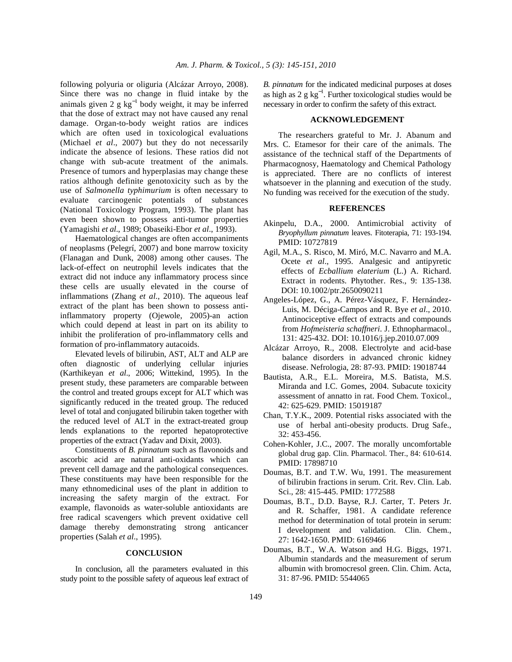following polyuria or oliguria (Alcázar Arroyo, 2008). Since there was no change in fluid intake by the animals given 2 g  $kg^{-1}$  body weight, it may be inferred that the dose of extract may not have caused any renal damage. Organ-to-body weight ratios are indices which are often used in toxicological evaluations (Michael *et al*., 2007) but they do not necessarily indicate the absence of lesions. These ratios did not change with sub-acute treatment of the animals. Presence of tumors and hyperplasias may change these ratios although definite genotoxicity such as by the use of *Salmonella typhimurium* is often necessary to evaluate carcinogenic potentials of substances (National Toxicology Program, 1993). The plant has even been shown to possess anti-tumor properties (Yamagishi *et al*., 1989; Obaseiki-Ebor *et al*., 1993).

 Haematological changes are often accompaniments of neoplasms (Pelegrí, 2007) and bone marrow toxicity (Flanagan and Dunk, 2008) among other causes. The lack-of-effect on neutrophil levels indicates that the extract did not induce any inflammatory process since these cells are usually elevated in the course of inflammations (Zhang *et al*., 2010). The aqueous leaf extract of the plant has been shown to possess antiinflammatory property (Ojewole, 2005)-an action which could depend at least in part on its ability to inhibit the proliferation of pro-inflammatory cells and formation of pro-inflammatory autacoids.

 Elevated levels of bilirubin, AST, ALT and ALP are often diagnostic of underlying cellular injuries (Karthikeyan *et al*., 2006; Wittekind, 1995). In the present study, these parameters are comparable between the control and treated groups except for ALT which was significantly reduced in the treated group. The reduced level of total and conjugated bilirubin taken together with the reduced level of ALT in the extract-treated group lends explanations to the reported hepatoprotective properties of the extract (Yadav and Dixit, 2003).

 Constituents of *B. pinnatum* such as flavonoids and ascorbic acid are natural anti-oxidants which can prevent cell damage and the pathological consequences. These constituents may have been responsible for the many ethnomedicinal uses of the plant in addition to increasing the safety margin of the extract. For example, flavonoids as water-soluble antioxidants are free radical scavengers which prevent oxidative cell damage thereby demonstrating strong anticancer properties (Salah *et al*., 1995).

#### **CONCLUSION**

 In conclusion, all the parameters evaluated in this study point to the possible safety of aqueous leaf extract of *B. pinnatum* for the indicated medicinal purposes at doses as high as  $2 \text{ g kg}^{-1}$ . Further toxicological studies would be necessary in order to confirm the safety of this extract.

### **ACKNOWLEDGEMENT**

 The researchers grateful to Mr. J. Abanum and Mrs. C. Etamesor for their care of the animals. The assistance of the technical staff of the Departments of Pharmacognosy, Haematology and Chemical Pathology is appreciated. There are no conflicts of interest whatsoever in the planning and execution of the study. No funding was received for the execution of the study.

#### **REFERENCES**

- Akinpelu, D.A., 2000. Antimicrobial activity of *Bryophyllum pinnatum* leaves. Fitoterapia, 71: 193-194. PMID: 10727819
- Agil, M.A., S. Risco, M. Miró, M.C. Navarro and M.A. Ocete *et al*., 1995. Analgesic and antipyretic effects of *Ecballium elaterium* (L.) A. Richard. Extract in rodents. Phytother. Res., 9: 135-138. DOI: 10.1002/ptr.2650090211
- Angeles-López, G., A. Pérez-Vásquez, F. Hernández-Luis, M. Déciga-Campos and R. Bye *et al*., 2010. Antinociceptive effect of extracts and compounds from *Hofmeisteria schaffneri*. J. Ethnopharmacol., 131: 425-432. DOI: 10.1016/j.jep.2010.07.009
- Alcázar Arroyo, R., 2008. Electrolyte and acid-base balance disorders in advanced chronic kidney disease. Nefrologia, 28: 87-93. PMID: 19018744
- Bautista, A.R., E.L. Moreira, M.S. Batista, M.S. Miranda and I.C. Gomes, 2004. Subacute toxicity assessment of annatto in rat. Food Chem. Toxicol., 42: 625-629. PMID: 15019187
- Chan, T.Y.K., 2009. Potential risks associated with the use of herbal anti-obesity products. Drug Safe., 32: 453-456.
- Cohen-Kohler, J.C., 2007. The morally uncomfortable global drug gap. Clin. Pharmacol. Ther., 84: 610-614. PMID: 17898710
- Doumas, B.T. and T.W. Wu, 1991. The measurement of bilirubin fractions in serum. Crit. Rev. Clin. Lab. Sci., 28: 415-445. PMID: 1772588
- Doumas, B.T., D.D. Bayse, R.J. Carter, T. Peters Jr. and R. Schaffer, 1981. A candidate reference method for determination of total protein in serum: I development and validation. Clin. Chem., 27: 1642-1650. PMID: 6169466
- Doumas, B.T., W.A. Watson and H.G. Biggs, 1971. Albumin standards and the measurement of serum albumin with bromocresol green. Clin. Chim. Acta, 31: 87-96. PMID: 5544065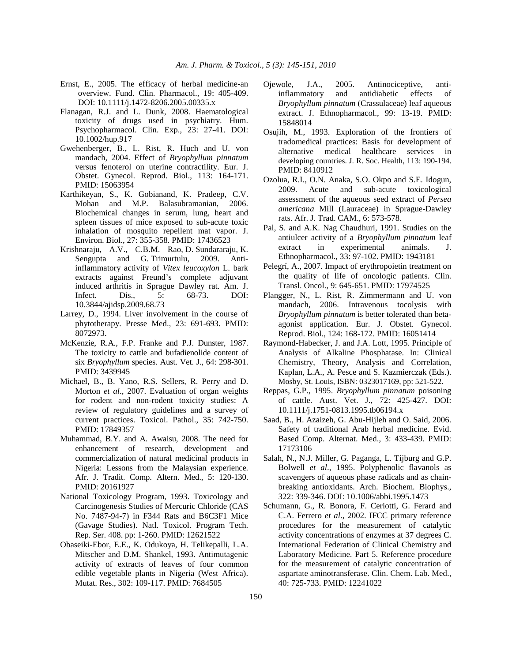- Ernst, E., 2005. The efficacy of herbal medicine-an overview. Fund. Clin. Pharmacol., 19: 405-409. DOI: 10.1111/j.1472-8206.2005.00335.x
- Flanagan, R.J. and L. Dunk, 2008. Haematological toxicity of drugs used in psychiatry. Hum. Psychopharmacol. Clin. Exp., 23: 27-41. DOI: 10.1002/hup.917
- Gwehenberger, B., L. Rist, R. Huch and U. von mandach, 2004. Effect of *Bryophyllum pinnatum* versus fenoterol on uterine contractility. Eur. J. Obstet. Gynecol. Reprod. Biol., 113: 164-171. PMID: 15063954
- Karthikeyan, S., K. Gobianand, K. Pradeep, C.V. Mohan and M.P. Balasubramanian, 2006. Biochemical changes in serum, lung, heart and spleen tissues of mice exposed to sub-acute toxic inhalation of mosquito repellent mat vapor. J. Environ. Biol., 27: 355-358. PMID: 17436523
- Krishnaraju, A.V., C.B.M. Rao, D. Sundararaju, K. Sengupta and G. Trimurtulu, 2009. Antiinflammatory activity of *Vitex leucoxylon* L. bark extracts against Freund's complete adjuvant induced arthritis in Sprague Dawley rat. Am. J. Infect. Dis., 5: 68-73. DOI: 10.3844/ajidsp.2009.68.73
- Larrey, D., 1994. Liver involvement in the course of phytotherapy. Presse Med., 23: 691-693. PMID: 8072973.
- McKenzie, R.A., F.P. Franke and P.J. Dunster, 1987. The toxicity to cattle and bufadienolide content of six *Bryophyllum* species. Aust. Vet. J., 64: 298-301. PMID: 3439945
- Michael, B., B. Yano, R.S. Sellers, R. Perry and D. Morton *et al*., 2007. Evaluation of organ weights for rodent and non-rodent toxicity studies: A review of regulatory guidelines and a survey of current practices. Toxicol. Pathol., 35: 742-750. PMID: 17849357
- Muhammad, B.Y. and A. Awaisu, 2008. The need for enhancement of research, development and commercialization of natural medicinal products in Nigeria: Lessons from the Malaysian experience. Afr. J. Tradit. Comp. Altern. Med., 5: 120-130. PMID: 20161927
- National Toxicology Program, 1993. Toxicology and Carcinogenesis Studies of Mercuric Chloride (CAS No. 7487-94-7) in F344 Rats and B6C3F1 Mice (Gavage Studies). Natl. Toxicol. Program Tech. Rep. Ser. 408. pp: 1-260. PMID: 12621522
- Obaseiki-Ebor, E.E., K. Odukoya, H. Telikepalli, L.A. Mitscher and D.M. Shankel, 1993. Antimutagenic activity of extracts of leaves of four common edible vegetable plants in Nigeria (West Africa). Mutat. Res., 302: 109-117. PMID: 7684505
- Ojewole, J.A., 2005. Antinociceptive, antiinflammatory and antidiabetic effects of *Bryophyllum pinnatum* (Crassulaceae) leaf aqueous extract. J. Ethnopharmacol., 99: 13-19. PMID: 15848014
- Osujih, M., 1993. Exploration of the frontiers of tradomedical practices: Basis for development of alternative medical healthcare services in developing countries. J. R. Soc. Health, 113: 190-194. PMID: 8410912
- Ozolua, R.I., O.N. Anaka, S.O. Okpo and S.E. Idogun, 2009. Acute and sub-acute toxicological assessment of the aqueous seed extract of *Persea americana* Mill (Lauraceae) in Sprague-Dawley rats. Afr. J. Trad. CAM., 6: 573-578.
- Pal, S. and A.K. Nag Chaudhuri, 1991. Studies on the antiulcer activity of a *Bryophyllum pinnatum* leaf extract in experimental animals. J. Ethnopharmacol., 33: 97-102. PMID: 1943181
- Pelegrí, A., 2007. Impact of erythropoietin treatment on the quality of life of oncologic patients. Clin. Transl. Oncol., 9: 645-651. PMID: 17974525
- Plangger, N., L. Rist, R. Zimmermann and U. von mandach, 2006. Intravenous tocolysis with *Bryophyllum pinnatum* is better tolerated than betaagonist application. Eur. J. Obstet. Gynecol. Reprod. Biol., 124: 168-172. PMID: 16051414
- Raymond-Habecker, J. and J.A. Lott, 1995. Principle of Analysis of Alkaline Phosphatase. In: Clinical Chemistry, Theory, Analysis and Correlation, Kaplan, L.A., A. Pesce and S. Kazmierczak (Eds.). Mosby, St. Louis, ISBN: 0323017169, pp: 521-522.
- Reppas, G.P., 1995. *Bryophyllum pinnatum* poisoning of cattle. Aust. Vet. J., 72: 425-427. DOI: 10.1111/j.1751-0813.1995.tb06194.x
- Saad, B., H. Azaizeh, G. Abu-Hijleh and O. Said, 2006. Safety of traditional Arab herbal medicine. Evid. Based Comp. Alternat. Med., 3: 433-439. PMID: 17173106
- Salah, N., N.J. Miller, G. Paganga, L. Tijburg and G.P. Bolwell *et al*., 1995. Polyphenolic flavanols as scavengers of aqueous phase radicals and as chainbreaking antioxidants. Arch. Biochem. Biophys., 322: 339-346. DOI: 10.1006/abbi.1995.1473
- Schumann, G., R. Bonora, F. Ceriotti, G. Ferard and C.A. Ferrero *et al*., 2002. IFCC primary reference procedures for the measurement of catalytic activity concentrations of enzymes at 37 degrees C. International Federation of Clinical Chemistry and Laboratory Medicine. Part 5. Reference procedure for the measurement of catalytic concentration of aspartate aminotransferase. Clin. Chem. Lab. Med., 40: 725-733. PMID: 12241022